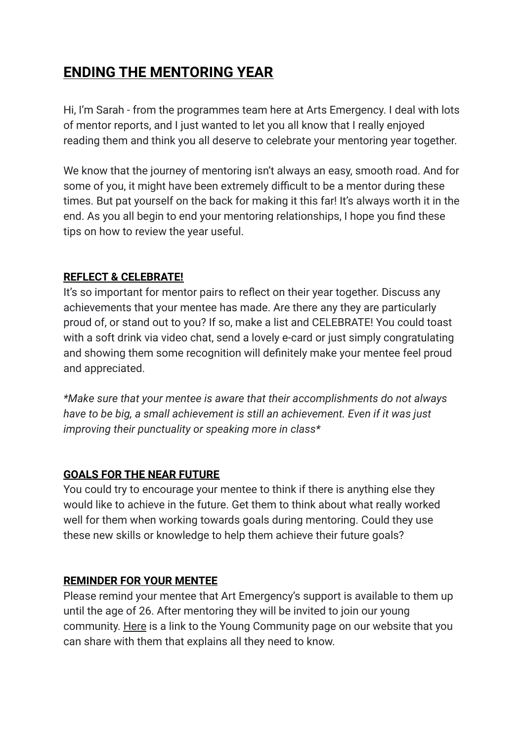# **ENDING THE MENTORING YEAR**

Hi, I'm Sarah - from the programmes team here at Arts Emergency. I deal with lots of mentor reports, and I just wanted to let you all know that I really enjoyed reading them and think you all deserve to celebrate your mentoring year together.

We know that the journey of mentoring isn't always an easy, smooth road. And for some of you, it might have been extremely difficult to be a mentor during these times. But pat yourself on the back for making it this far! It's always worth it in the end. As you all begin to end your mentoring relationships, I hope you find these tips on how to review the year useful.

### **REFLECT & CELEBRATE!**

It's so important for mentor pairs to reflect on their year together. Discuss any achievements that your mentee has made. Are there any they are particularly proud of, or stand out to you? If so, make a list and CELEBRATE! You could toast with a soft drink via video chat, send a lovely e-card or just simply congratulating and showing them some recognition will definitely make your mentee feel proud and appreciated.

*\*Make sure that your mentee is aware that their accomplishments do not always have to be big, a small achievement is still an achievement. Even if it was just improving their punctuality or speaking more in class\**

#### **GOALS FOR THE NEAR FUTURE**

You could try to encourage your mentee to think if there is anything else they would like to achieve in the future. Get them to think about what really worked well for them when working towards goals during mentoring. Could they use these new skills or knowledge to help them achieve their future goals?

#### **REMINDER FOR YOUR MENTEE**

Please remind your mentee that Art Emergency's support is available to them up until the age of 26. After mentoring they will be invited to join our young community. [Here](https://www.arts-emergency.org/young-people/young-community) is a link to the Young Community page on our website that you can share with them that explains all they need to know.